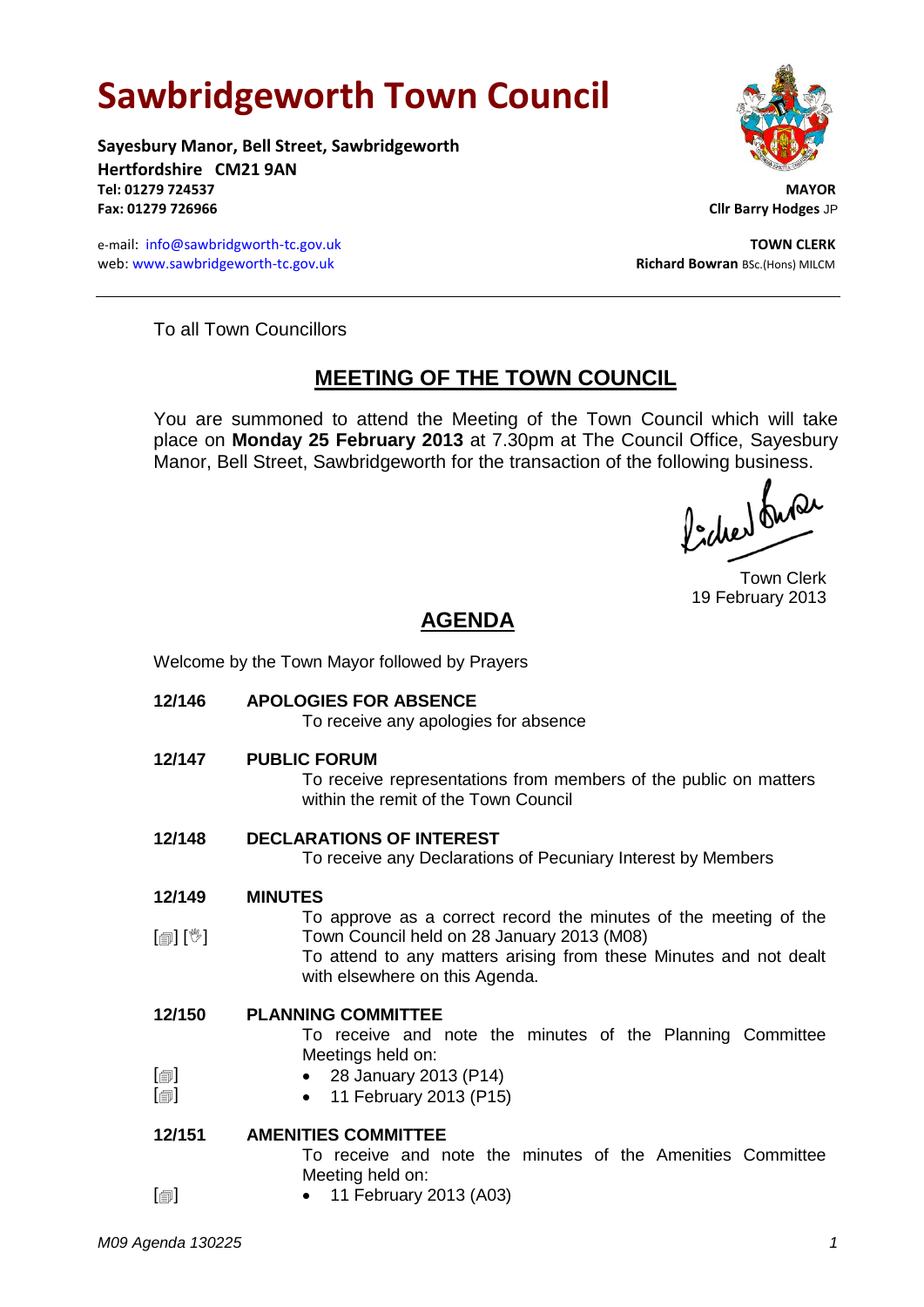# **Sawbridgeworth Town Council**

**Sayesbury Manor, Bell Street, Sawbridgeworth Hertfordshire CM21 9AN Tel: 01279 724537 MAYOR Fax: 01279 726966 Cllr Barry Hodges** JP

e-mail: [info@sawbridgworth-tc.gov.uk](mailto:info@sawbridgworth-tc.gov.uk) **TOWN CLERK** web: www.sawbridgeworth-tc.gov.uk **Richard Bowran** BSc.(Hons) MILCM



To all Town Councillors

# **MEETING OF THE TOWN COUNCIL**

You are summoned to attend the Meeting of the Town Council which will take place on **Monday 25 February 2013** at 7.30pm at The Council Office, Sayesbury Manor, Bell Street, Sawbridgeworth for the transaction of the following business.<br>  $\int_{\mathbb{R}} \int \mathbb{R} \mathbb{Q} \mathbb{Q}$ 

Town Clerk 19 February 2013

# **AGENDA**

Welcome by the Town Mayor followed by Prayers

**12/146 APOLOGIES FOR ABSENCE** To receive any apologies for absence **12/147 PUBLIC FORUM** To receive representations from members of the public on matters within the remit of the Town Council **12/148 DECLARATIONS OF INTEREST** To receive any Declarations of Pecuniary Interest by Members **12/149** [創] [V] **MINUTES** To approve as a correct record the minutes of the meeting of the Town Council held on 28 January 2013 (M08) To attend to any matters arising from these Minutes and not dealt with elsewhere on this Agenda. **12/150**  $[\blacksquare]$  $\Box$ **PLANNING COMMITTEE** To receive and note the minutes of the Planning Committee Meetings held on: 28 January 2013 (P14) 11 February 2013 (P15) **12/151**  $\Box$ **AMENITIES COMMITTEE** To receive and note the minutes of the Amenities Committee Meeting held on: • 11 February 2013 (A03)